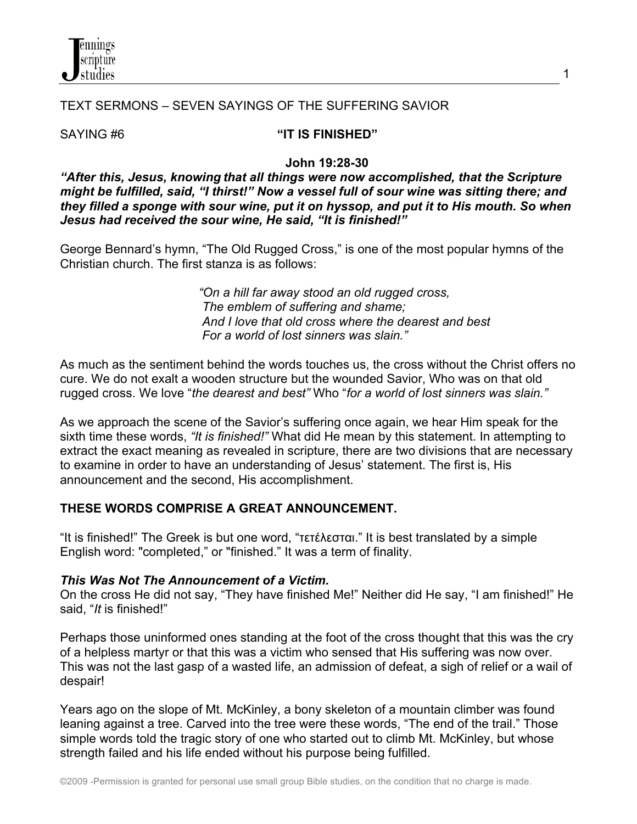

### TEXT SERMONS – SEVEN SAYINGS OF THE SUFFERING SAVIOR

## SAYING #6 **"IT IS FINISHED"**

#### **John 19:28-30**

*"After this, Jesus, knowing that all things were now accomplished, that the Scripture might be fulfilled, said, "I thirst!" Now a vessel full of sour wine was sitting there; and they filled a sponge with sour wine, put it on hyssop, and put it to His mouth. So when Jesus had received the sour wine, He said, "It is finished!"*

George Bennard's hymn, "The Old Rugged Cross," is one of the most popular hymns of the Christian church. The first stanza is as follows:

> *"On a hill far away stood an old rugged cross, The emblem of suffering and shame; And I love that old cross where the dearest and best For a world of lost sinners was slain."*

As much as the sentiment behind the words touches us, the cross without the Christ offers no cure. We do not exalt a wooden structure but the wounded Savior, Who was on that old rugged cross. We love "*the dearest and best"* Who "*for a world of lost sinners was slain."*

As we approach the scene of the Savior's suffering once again, we hear Him speak for the sixth time these words, *"It is finished!"* What did He mean by this statement. In attempting to extract the exact meaning as revealed in scripture, there are two divisions that are necessary to examine in order to have an understanding of Jesus' statement. The first is, His announcement and the second, His accomplishment.

#### **THESE WORDS COMPRISE A GREAT ANNOUNCEMENT.**

"It is finished!" The Greek is but one word, "τετέλεσται." It is best translated by a simple English word: "completed," or "finished." It was a term of finality.

#### *This Was Not The Announcement of a Victim.*

On the cross He did not say, "They have finished Me!" Neither did He say, "I am finished!" He said, "*It* is finished!"

Perhaps those uninformed ones standing at the foot of the cross thought that this was the cry of a helpless martyr or that this was a victim who sensed that His suffering was now over. This was not the last gasp of a wasted life, an admission of defeat, a sigh of relief or a wail of despair!

Years ago on the slope of Mt. McKinley, a bony skeleton of a mountain climber was found leaning against a tree. Carved into the tree were these words, "The end of the trail." Those simple words told the tragic story of one who started out to climb Mt. McKinley, but whose strength failed and his life ended without his purpose being fulfilled.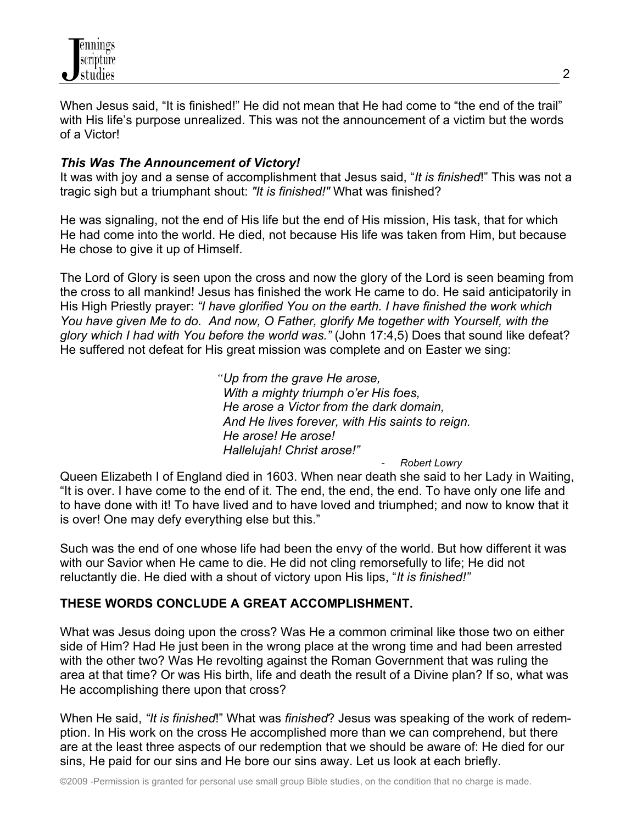

When Jesus said, "It is finished!" He did not mean that He had come to "the end of the trail" with His life's purpose unrealized. This was not the announcement of a victim but the words of a Victor!

### *This Was The Announcement of Victory!*

It was with joy and a sense of accomplishment that Jesus said, "*It is finished*!" This was not a tragic sigh but a triumphant shout: *"It is finished!"* What was finished?

He was signaling, not the end of His life but the end of His mission, His task, that for which He had come into the world. He died, not because His life was taken from Him, but because He chose to give it up of Himself.

The Lord of Glory is seen upon the cross and now the glory of the Lord is seen beaming from the cross to all mankind! Jesus has finished the work He came to do. He said anticipatorily in His High Priestly prayer: *"I have glorified You on the earth. I have finished the work which You have given Me to do. And now, O Father, glorify Me together with Yourself, with the glory which I had with You before the world was."* (John 17:4,5) Does that sound like defeat? He suffered not defeat for His great mission was complete and on Easter we sing:

> *"Up from the grave He arose, With a mighty triumph o'er His foes, He arose a Victor from the dark domain, And He lives forever, with His saints to reign. He arose! He arose! Hallelujah! Christ arose!"*

> > - *Robert Lowry*

Queen Elizabeth I of England died in 1603. When near death she said to her Lady in Waiting, "It is over. I have come to the end of it. The end, the end, the end. To have only one life and to have done with it! To have lived and to have loved and triumphed; and now to know that it is over! One may defy everything else but this."

Such was the end of one whose life had been the envy of the world. But how different it was with our Savior when He came to die. He did not cling remorsefully to life; He did not reluctantly die. He died with a shout of victory upon His lips, "*It is finished!"*

#### **THESE WORDS CONCLUDE A GREAT ACCOMPLISHMENT.**

What was Jesus doing upon the cross? Was He a common criminal like those two on either side of Him? Had He just been in the wrong place at the wrong time and had been arrested with the other two? Was He revolting against the Roman Government that was ruling the area at that time? Or was His birth, life and death the result of a Divine plan? If so, what was He accomplishing there upon that cross?

When He said, *"It is finished*!" What was *finished*? Jesus was speaking of the work of redemption. In His work on the cross He accomplished more than we can comprehend, but there are at the least three aspects of our redemption that we should be aware of: He died for our sins, He paid for our sins and He bore our sins away. Let us look at each briefly.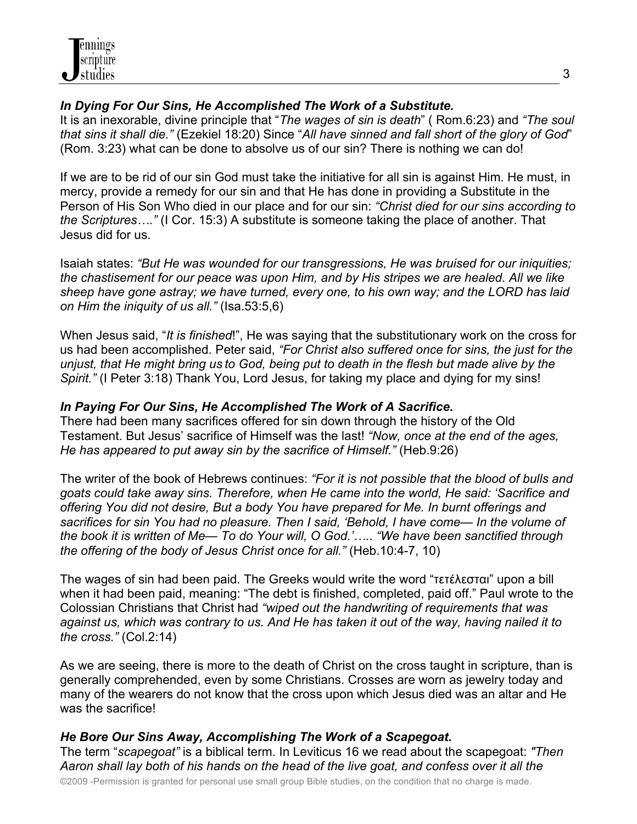## *In Dying For Our Sins, He Accomplished The Work of a Substitute.*

It is an inexorable, divine principle that "*The wages of sin is death*" ( Rom.6:23) and *"The soul that sins it shall die."* (Ezekiel 18:20) Since "*All have sinned and fall short of the glory of God*" (Rom. 3:23) what can be done to absolve us of our sin? There is nothing we can do!

If we are to be rid of our sin God must take the initiative for all sin is against Him. He must, in mercy, provide a remedy for our sin and that He has done in providing a Substitute in the Person of His Son Who died in our place and for our sin: *"Christ died for our sins according to the Scriptures…."* (I Cor. 15:3) A substitute is someone taking the place of another. That Jesus did for us.

Isaiah states: *"But He was wounded for our transgressions, He was bruised for our iniquities; the chastisement for our peace was upon Him, and by His stripes we are healed. All we like sheep have gone astray; we have turned, every one, to his own way; and the LORD has laid on Him the iniquity of us all."* (Isa.53:5,6)

When Jesus said, "*It is finished*!", He was saying that the substitutionary work on the cross for us had been accomplished. Peter said, *"For Christ also suffered once for sins, the just for the unjust, that He might bring us to God, being put to death in the flesh but made alive by the Spirit."* (I Peter 3:18) Thank You, Lord Jesus, for taking my place and dying for my sins!

## *In Paying For Our Sins, He Accomplished The Work of A Sacrifice.*

There had been many sacrifices offered for sin down through the history of the Old Testament. But Jesus' sacrifice of Himself was the last! *"Now, once at the end of the ages, He has appeared to put away sin by the sacrifice of Himself."* (Heb.9:26)

The writer of the book of Hebrews continues: *"For it is not possible that the blood of bulls and goats could take away sins. Therefore, when He came into the world, He said: 'Sacrifice and offering You did not desire, But a body You have prepared for Me. In burnt offerings and sacrifices for sin You had no pleasure. Then I said, 'Behold, I have come— In the volume of the book it is written of Me— To do Your will, O God.'….. "We have been sanctified through the offering of the body of Jesus Christ once for all."* (Heb.10:4-7, 10)

The wages of sin had been paid. The Greeks would write the word "τετέλεσται" upon a bill when it had been paid, meaning: "The debt is finished, completed, paid off." Paul wrote to the Colossian Christians that Christ had *"wiped out the handwriting of requirements that was against us, which was contrary to us. And He has taken it out of the way, having nailed it to the cross."* (Col.2:14)

As we are seeing, there is more to the death of Christ on the cross taught in scripture, than is generally comprehended, even by some Christians. Crosses are worn as jewelry today and many of the wearers do not know that the cross upon which Jesus died was an altar and He was the sacrifice!

# *He Bore Our Sins Away, Accomplishing The Work of a Scapegoat.*

The term "*scapegoat"* is a biblical term. In Leviticus 16 we read about the scapegoat: *"Then Aaron shall lay both of his hands on the head of the live goat, and confess over it all the*